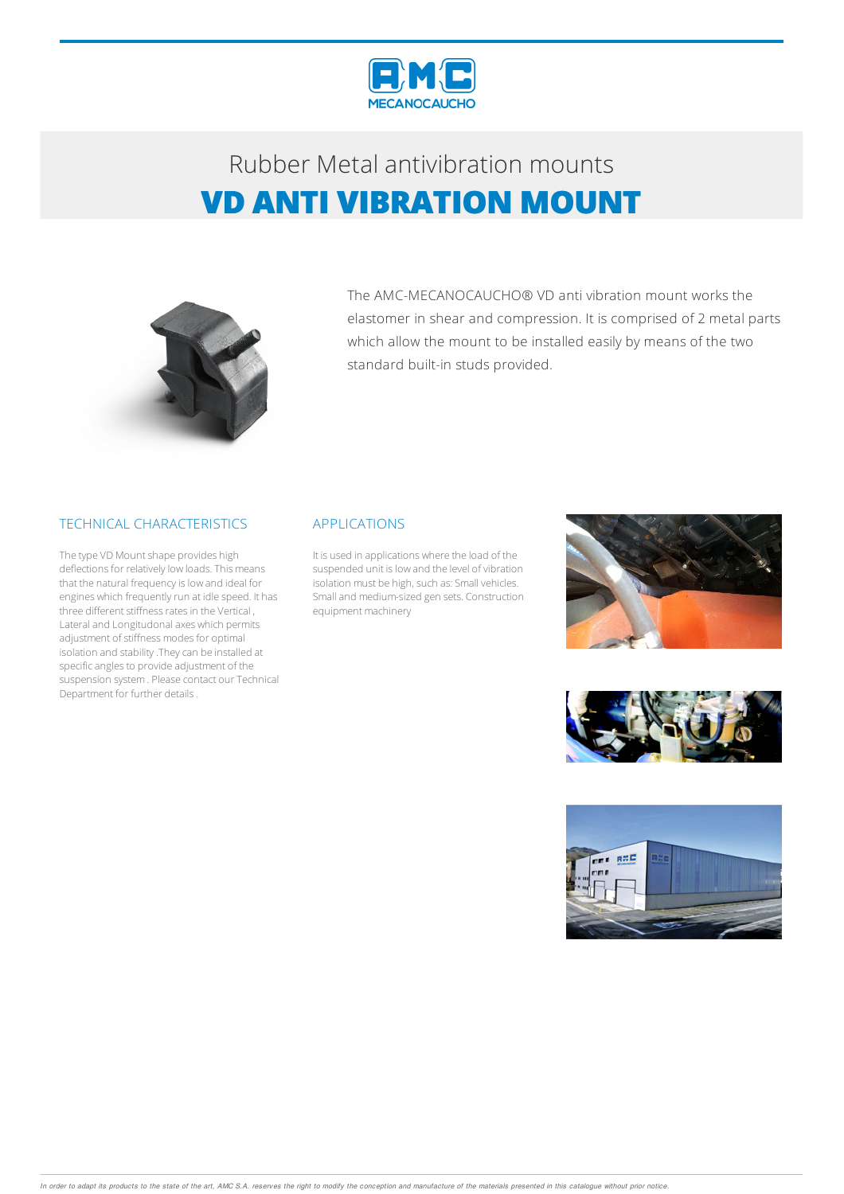

## Rubber Metalantivibration mounts **VD ANTI VIBRATION MOUNT**



The AMC-MECANOCAUCHO® VD anti vibration mount works the elastomer in shear and compression. It is comprised of 2 metal parts which allow the mount to be installed easily by means of the two standard built-in studs provided.

### TECHNICAL CHARACTERISTICS

The type VD Mount shape provides high deflections for relatively low loads. This means that the natural frequency is low and ideal for engines which frequently run at idle speed. It has three different stiffness rates in the Vertical, Lateral and Longitudonal axes which permits adjustment of stiffness modes for optimal isolation and stability.Theycan be installed at specific angles to provide adjustment of the suspension system. Please contact our Technical Department for further details.

#### APPLICATIONS

It is used in applications where the load of the suspended unit is low and the level of vibration isolation must be high, such as: Small vehicles. Smalland medium-sized gen sets. Construction equipment machinery





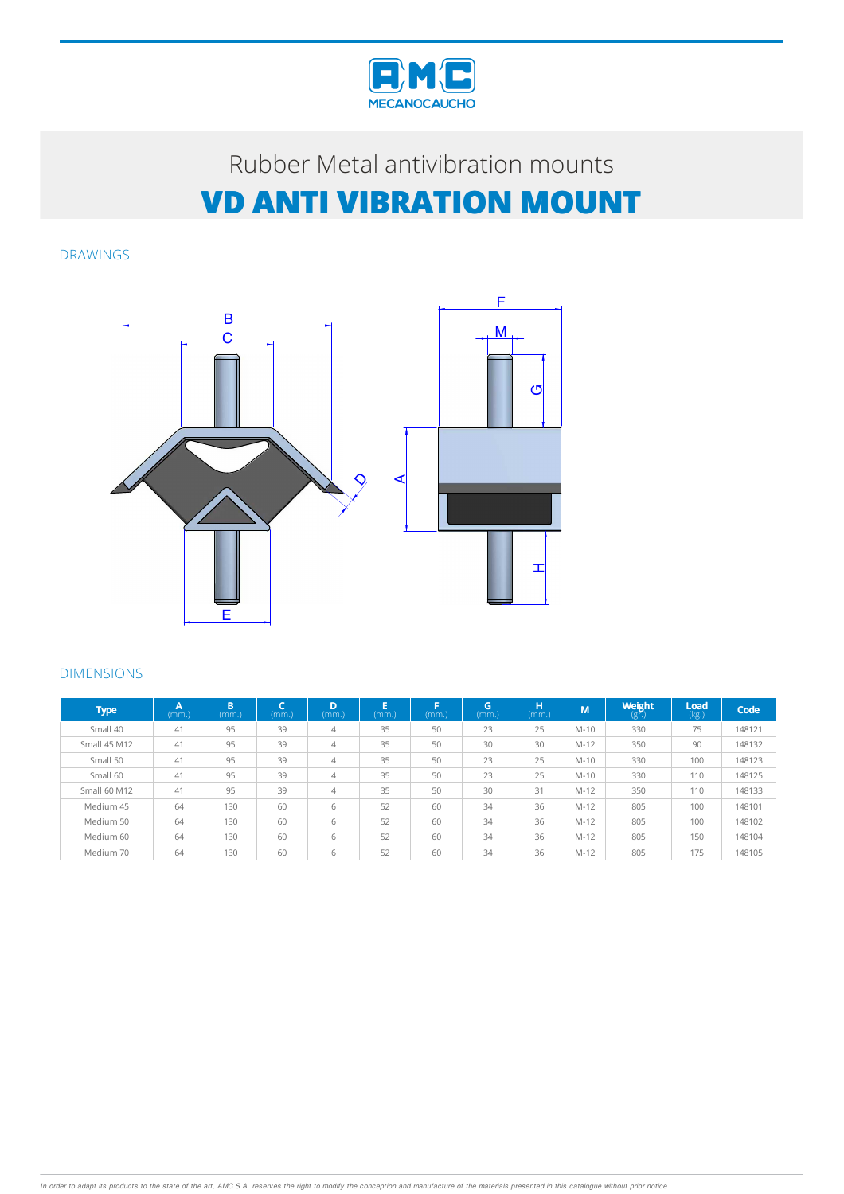

# Rubber Metal antivibration mounts **VD ANTI VIBRATION MOUNT**

DRAWINGS



#### DIMENSIONS

| <b>Type</b>         | A<br>(mm.) | <b>D</b><br>в<br>(mm.) | æ<br>(mm.) | D<br>(mm.)     | (mm.) | Е<br>(mm.) | G<br>(mm.) | н<br>(mm.) | M      | <b>Weight</b><br>$(g\bar{r})$ | Load<br>(kg.) | Code   |
|---------------------|------------|------------------------|------------|----------------|-------|------------|------------|------------|--------|-------------------------------|---------------|--------|
| Small 40            | 41         | 95                     | 39         | $\overline{4}$ | 35    | 50         | 23         | 25         | $M-10$ | 330                           | 75            | 148121 |
| <b>Small 45 M12</b> | 41         | 95                     | 39         | $\overline{4}$ | 35    | 50         | 30         | 30         | $M-12$ | 350                           | 90            | 148132 |
| Small 50            | 41         | 95                     | 39         | $\overline{4}$ | 35    | 50         | 23         | 25         | $M-10$ | 330                           | 100           | 148123 |
| Small 60            | 41         | 95                     | 39         | $\overline{4}$ | 35    | 50         | 23         | 25         | $M-10$ | 330                           | 110           | 148125 |
| Small 60 M12        | 41         | 95                     | 39         | $\overline{4}$ | 35    | 50         | 30         | 31         | $M-12$ | 350                           | 110           | 148133 |
| Medium 45           | 64         | 130                    | 60         | 6              | 52    | 60         | 34         | 36         | $M-12$ | 805                           | 100           | 148101 |
| Medium 50           | 64         | 130                    | 60         | 6              | 52    | 60         | 34         | 36         | $M-12$ | 805                           | 100           | 148102 |
| Medium 60           | 64         | 130                    | 60         | 6              | 52    | 60         | 34         | 36         | $M-12$ | 805                           | 150           | 148104 |
| Medium 70           | 64         | 130                    | 60         | 6              | 52    | 60         | 34         | 36         | $M-12$ | 805                           | 175           | 148105 |